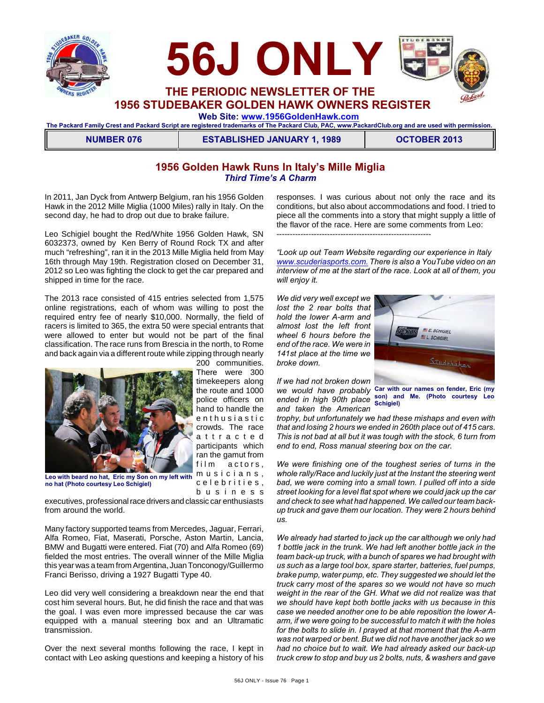



**1956 STUDEBAKER GOLDEN HAWK OWNERS REGISTER**

 **Web Site: [www.1956GoldenHawk.com](http://www.1956GoldenHawk.com)**

**The Packard Family Crest and Packard Script are registered trademarks of The Packard Club, PAC, www.PackardClub.org and are used with permission.** 

**NUMBER 076 ESTABLISHED JANUARY 1, 1989 COTOBER 2013** 

## **1956 Golden Hawk Runs In Italy's Mille Miglia** *Third Time's A Charm*

In 2011, Jan Dyck from Antwerp Belgium, ran his 1956 Golden Hawk in the 2012 Mille Miglia (1000 Miles) rally in Italy. On the second day, he had to drop out due to brake failure.

Leo Schigiel bought the Red/White 1956 Golden Hawk, SN 6032373, owned by Ken Berry of Round Rock TX and after much "refreshing", ran it in the 2013 Mille Miglia held from May 16th through May 19th. Registration closed on December 31, 2012 so Leo was fighting the clock to get the car prepared and shipped in time for the race.

The 2013 race consisted of 415 entries selected from 1,575 online registrations, each of whom was willing to post the required entry fee of nearly \$10,000. Normally, the field of racers is limited to 365, the extra 50 were special entrants that were allowed to enter but would not be part of the final classification. The race runs from Brescia in the north, to Rome and back again via a different route while zipping through nearly



200 communities. There were 300 timekeepers along the route and 1000 police officers on hand to handle the e n thus i a s t i c crowds. The race a t t r a c t e d participants which ran the gamut from film actors, musicians, c e l e b r i t i e s , b u s i n e s s

**Leo with beard no hat, Eric my Son on my left with no hat (Photo courtesy Leo Schigiel)**

executives, professional race drivers and classic car enthusiasts from around the world.

Many factory supported teams from Mercedes, Jaguar, Ferrari, Alfa Romeo, Fiat, Maserati, Porsche, Aston Martin, Lancia, BMW and Bugatti were entered. Fiat (70) and Alfa Romeo (69) fielded the most entries. The overall winner of the Mille Miglia this year was a team from Argentina, Juan Tonconogy/Guillermo Franci Berisso, driving a 1927 Bugatti Type 40.

Leo did very well considering a breakdown near the end that cost him several hours. But, he did finish the race and that was the goal. I was even more impressed because the car was equipped with a manual steering box and an Ultramatic transmission.

Over the next several months following the race, I kept in contact with Leo asking questions and keeping a history of his

responses. I was curious about not only the race and its conditions, but also about accommodations and food. I tried to piece all the comments into a story that might supply a little of the flavor of the race. Here are some comments from Leo: ----------------------------------------------------------

*"Look up out Team Website regarding our experience in Italy [www.scuderiasports.com.](http://www.scuderiasports.com.) There is also a YouTube video on an interview of me at the start of the race. Look at all of them, you will enjoy it.*

*We did very well except we lost the 2 rear bolts that hold the lower A-arm and almost lost the left front wheel 6 hours before the end of the race. We were in 141st place at the time we broke down.* 



*If we had not broken down and taken the American*

*we would have probably* **Car with our names on fender, Eric (my** *ended in high 90th place* **son) and Me. (Photo courtesy Leo Schigiel)**

*trophy, but unfortunately we had these mishaps and even with that and losing 2 hours we ended in 260th place out of 415 cars. This is not bad at all but it was tough with the stock, 6 turn from end to end, Ross manual steering box on the car.*

*We were finishing one of the toughest series of turns in the whole rally/Race and luckily just at the Instant the steering went bad, we were coming into a small town. I pulled off into a side street looking for a level flat spot where we could jack up the car and check to see what had happened. We called our team backup truck and gave them our location. They were 2 hours behind us.*

*We already had started to jack up the car although we only had 1 bottle jack in the trunk. We had left another bottle jack in the team back-up truck, with a bunch of spares we had brought with us such as a large tool box, spare starter, batteries, fuel pumps, brake pump, water pump, etc. They suggested we should let the truck carry most of the spares so we would not have so much weight in the rear of the GH. What we did not realize was that we should have kept both bottle jacks with us because in this case we needed another one to be able reposition the lower Aarm, if we were going to be successful to match it with the holes for the bolts to slide in. I prayed at that moment that the A-arm was not warped or bent. But we did not have another jack so we had no choice but to wait. We had already asked our back-up truck crew to stop and buy us 2 bolts, nuts, & washers and gave*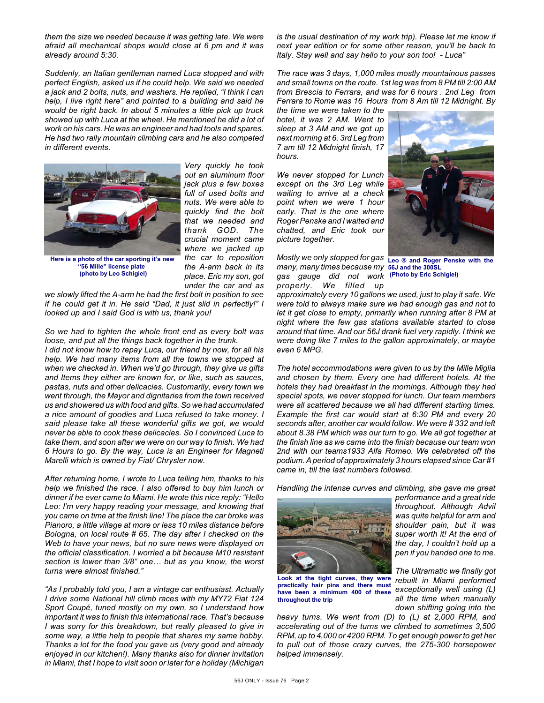*them the size we needed because it was getting late. We were afraid all mechanical shops would close at 6 pm and it was already around 5:30.*

*Suddenly, an Italian gentleman named Luca stopped and with perfect English, asked us if he could help. We said we needed a jack and 2 bolts, nuts, and washers. He replied, "I think I can help, I live right here" and pointed to a building and said he would be right back. In about 5 minutes a little pick up truck showed up with Luca at the wheel. He mentioned he did a lot of work on his cars. He was an engineer and had tools and spares. He had two rally mountain climbing cars and he also competed in different events.*



*Very quickly he took out an aluminum floor jack plus a few boxes full of used bolts and nuts. We were able to quickly find the bolt that we needed and thank GOD. The crucial moment came where we jacked up the car to reposition the A-arm back in its place. Eric my son, got under the car and as*

**Here is a photo of the car sporting it's new "56 Mille" license plate (photo by Leo Schigiel)**

*we slowly lifted the A-arm he had the first bolt in position to see if he could get it in. He said "Dad, it just slid in perfectly!" I looked up and I said God is with us, thank you!*

*So we had to tighten the whole front end as every bolt was loose, and put all the things back together in the trunk.* 

*I did not know how to repay Luca, our friend by now, for all his help. We had many items from all the towns we stopped at when we checked in. When we'd go through, they give us gifts and Items they either are known for, or like, such as sauces, pastas, nuts and other delicacies. Customarily, every town we went through, the Mayor and dignitaries from the town received us and showered us with food and gifts. So we had accumulated a nice amount of goodies and Luca refused to take money. I said please take all these wonderful gifts we got, we would never be able to cook these delicacies. So I convinced Luca to take them, and soon after we were on our way to finish. We had 6 Hours to go. By the way, Luca is an Engineer for Magneti Marelli which is owned by Fiat/ Chrysler now.*

*After returning home, I wrote to Luca telling him, thanks to his help we finished the race. I also offered to buy him lunch or dinner if he ever came to Miami. He wrote this nice reply: "Hello Leo: I'm very happy reading your message, and knowing that you came on time at the finish line! The place the car broke was Pianoro, a little village at more or less 10 miles distance before Bologna, on local route # 65. The day after I checked on the Web to have your news, but no sure news were displayed on the official classification. I worried a bit because M10 resistant section is lower than 3/8" one… but as you know, the worst turns were almost finished."*

*"As I probably told you, I am a vintage car enthusiast. Actually I drive some National hill climb races with my MY72 Fiat 124 Sport Coupé, tuned mostly on my own, so I understand how important it was to finish this international race. That's because I was sorry for this breakdown, but really pleased to give in some way, a little help to people that shares my same hobby. Thanks a lot for the food you gave us (very good and already enjoyed in our kitchen!). Many thanks also for dinner invitation in Miami, that I hope to visit soon or later for a holiday (Michigan*

*is the usual destination of my work trip). Please let me know if next year edition or for some other reason, you'll be back to Italy. Stay well and say hello to your son too! - Luca"*

*The race was 3 days, 1,000 miles mostly mountainous passes and small towns on the route. 1st leg was from 8 PM till 2:00 AM from Brescia to Ferrara, and was for 6 hours . 2nd Leg from Ferrara to Rome was 16 Hours from 8 Am till 12 Midnight. By*

*the time we were taken to the hotel, it was 2 AM. Went to sleep at 3 AM and we got up next morning at 6. 3rd Leg from 7 am till 12 Midnight finish, 17 hours.*

*We never stopped for Lunch except on the 3rd Leg while waiting to arrive at a check point when we were 1 hour early. That is the one where Roger Penske and I waited and chatted, and Eric took our picture together.*

*Mostly we only stopped for gas* **Leo ® and Roger Penske with the** *many, many times because my* **56J and the 300SL** *gas gauge did not work*  **(Photo by Eric Schigiel)** *properly. We filled up*



*approximately every 10 gallons we used, just to play it safe. We were told to always make sure we had enough gas and not to let it get close to empty, primarily when running after 8 PM at night where the few gas stations available started to close around that time. And our 56J drank fuel very rapidly. I think we were doing like 7 miles to the gallon approximately, or maybe even 6 MPG.*

*The hotel accommodations were given to us by the Mille Miglia and chosen by them. Every one had different hotels. At the hotels they had breakfast in the mornings. Although they had special spots, we never stopped for lunch. Our team members were all scattered because we all had different starting times. Example the first car would start at 6:30 PM and every 20 seconds after, another car would follow. We were # 332 and left about 8.38 PM which was our turn to go. We all got together at the finish line as we came into the finish because our team won 2nd with our teams1933 Alfa Romeo. We celebrated off the podium. A period of approximately 3 hours elapsed since Car #1 came in, till the last numbers followed.*

*Handling the intense curves and climbing, she gave me great*



**Look at the tight curves, they were practically hair pins and there must have been a minimum 400 of these throughout the trip**

*performance and a great ride throughout. Although Advil was quite helpful for arm and shoulder pain, but it was super worth it! At the end of the day, I couldn't hold up a pen if you handed one to me.*

*The Ultramatic we finally got rebuilt in Miami performed exceptionally well using (L) all the time when manually down shifting going into the*

*heavy turns. We went from (D) to (L) at 2,000 RPM, and accelerating out of the turns we climbed to sometimes 3,500 RPM, up to 4,000 or 4200 RPM. To get enough power to get her to pull out of those crazy curves, the 275-300 horsepower helped immensely.*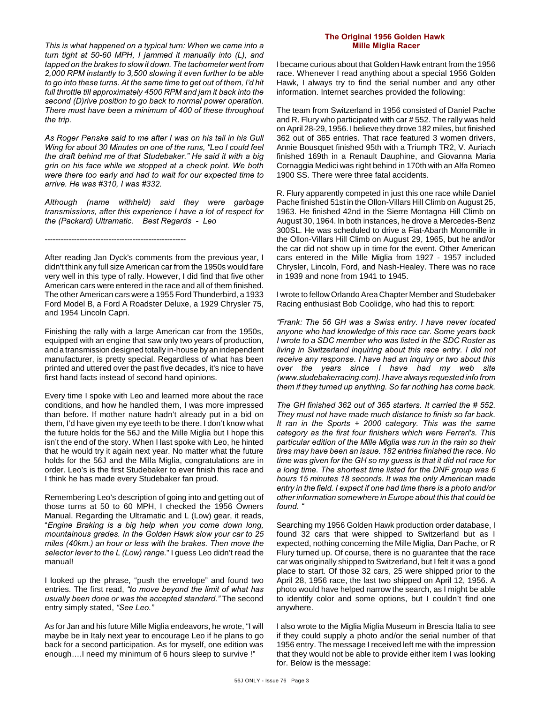*This is what happened on a typical turn: When we came into a turn tight at 50-60 MPH, I jammed it manually into (L), and tapped on the brakes to slow it down. The tachometer went from 2,000 RPM instantly to 3,500 slowing it even further to be able to go into these turns. At the same time to get out of them, I'd hit full throttle till approximately 4500 RPM and jam it back into the second (D)rive position to go back to normal power operation. There must have been a minimum of 400 of these throughout the trip.*

*As Roger Penske said to me after I was on his tail in his Gull Wing for about 30 Minutes on one of the runs, "Leo I could feel the draft behind me of that Studebaker." He said it with a big grin on his face while we stopped at a check point. We both were there too early and had to wait for our expected time to arrive. He was #310, I was #332.*

*Although (name withheld) said they were garbage transmissions, after this experience I have a lot of respect for the (Packard) Ultramatic. Best Regards - Leo*

-----------------------------------------------------

After reading Jan Dyck's comments from the previous year, I didn't think any full size American car from the 1950s would fare very well in this type of rally. However, I did find that five other American cars were entered in the race and all of them finished. The other American cars were a 1955 Ford Thunderbird, a 1933 Ford Model B, a Ford A Roadster Deluxe, a 1929 Chrysler 75, and 1954 Lincoln Capri.

Finishing the rally with a large American car from the 1950s, equipped with an engine that saw only two years of production, and a transmission designed totally in-house by an independent manufacturer, is pretty special. Regardless of what has been printed and uttered over the past five decades, it's nice to have first hand facts instead of second hand opinions.

Every time I spoke with Leo and learned more about the race conditions, and how he handled them, I was more impressed than before. If mother nature hadn't already put in a bid on them, I'd have given my eye teeth to be there. I don't know what the future holds for the 56J and the Mille Miglia but I hope this isn't the end of the story. When I last spoke with Leo, he hinted that he would try it again next year. No matter what the future holds for the 56J and the Milla Miglia, congratulations are in order. Leo's is the first Studebaker to ever finish this race and I think he has made every Studebaker fan proud.

Remembering Leo's description of going into and getting out of those turns at 50 to 60 MPH, I checked the 1956 Owners Manual. Regarding the Ultramatic and L (Low) gear, it reads, "*Engine Braking is a big help when you come down long, mountainous grades. In the Golden Hawk slow your car to 25 miles (40km.) an hour or less with the brakes. Then move the selector lever to the L (Low) range.*" I guess Leo didn't read the manual!

I looked up the phrase, "push the envelope" and found two entries. The first read, *"to move beyond the limit of what has usually been done or was the accepted standard."* The second entry simply stated, *"See Leo."*

As for Jan and his future Mille Miglia endeavors, he wrote, "I will maybe be in Italy next year to encourage Leo if he plans to go back for a second participation. As for myself, one edition was enough….I need my minimum of 6 hours sleep to survive !"

#### **The Original 1956 Golden Hawk Mille Miglia Racer**

I became curious about that Golden Hawk entrant from the 1956 race. Whenever I read anything about a special 1956 Golden Hawk, I always try to find the serial number and any other information. Internet searches provided the following:

The team from Switzerland in 1956 consisted of Daniel Pache and R. Flury who participated with car # 552. The rally was held on April 28-29, 1956. I believe they drove 182 miles, but finished 362 out of 365 entries. That race featured 3 women drivers, Annie Bousquet finished 95th with a Triumph TR2, V. Auriach finished 169th in a Renault Dauphine, and Giovanna Maria Cornaggia Medici was right behind in 170th with an Alfa Romeo 1900 SS. There were three fatal accidents.

R. Flury apparently competed in just this one race while Daniel Pache finished 51st in the Ollon-Villars Hill Climb on August 25, 1963. He finished 42nd in the Sierre Montagna Hill Climb on August 30, 1964. In both instances, he drove a Mercedes-Benz 300SL. He was scheduled to drive a Fiat-Abarth Monomille in the Ollon-Villars Hill Climb on August 29, 1965, but he and/or the car did not show up in time for the event. Other American cars entered in the Mille Miglia from 1927 - 1957 included Chrysler, Lincoln, Ford, and Nash-Healey. There was no race in 1939 and none from 1941 to 1945.

I wrote to fellow Orlando Area Chapter Member and Studebaker Racing enthusiast Bob Coolidge, who had this to report:

*"Frank: The 56 GH was a Swiss entry. I have never located anyone who had knowledge of this race car. Some years back I wrote to a SDC member who was listed in the SDC Roster as living in Switzerland inquiring about this race entry. I did not receive any response. I have had an inquiry or two about this over the years since I have had my web site (www.studebakerracing.com). I have always requested info from them if they turned up anything. So far nothing has come back.* 

*The GH finished 362 out of 365 starters. It carried the # 552. They must not have made much distance to finish so far back. It ran in the Sports + 2000 category. This was the same category as the first four finishers which were Ferrari's. This particular edition of the Mille Miglia was run in the rain so their tires may have been an issue. 182 entries finished the race. No time was given for the GH so my guess is that it did not race for a long time. The shortest time listed for the DNF group was 6 hours 15 minutes 18 seconds. It was the only American made entry in the field. I expect if one had time there is a photo and/or other information somewhere in Europe about this that could be found. "*

Searching my 1956 Golden Hawk production order database, I found 32 cars that were shipped to Switzerland but as I expected, nothing concerning the Mille Miglia, Dan Pache, or R Flury turned up. Of course, there is no guarantee that the race car was originally shipped to Switzerland, but I felt it was a good place to start. Of those 32 cars, 25 were shipped prior to the April 28, 1956 race, the last two shipped on April 12, 1956. A photo would have helped narrow the search, as I might be able to identify color and some options, but I couldn't find one anywhere.

I also wrote to the Miglia Miglia Museum in Brescia Italia to see if they could supply a photo and/or the serial number of that 1956 entry. The message I received left me with the impression that they would not be able to provide either item I was looking for. Below is the message: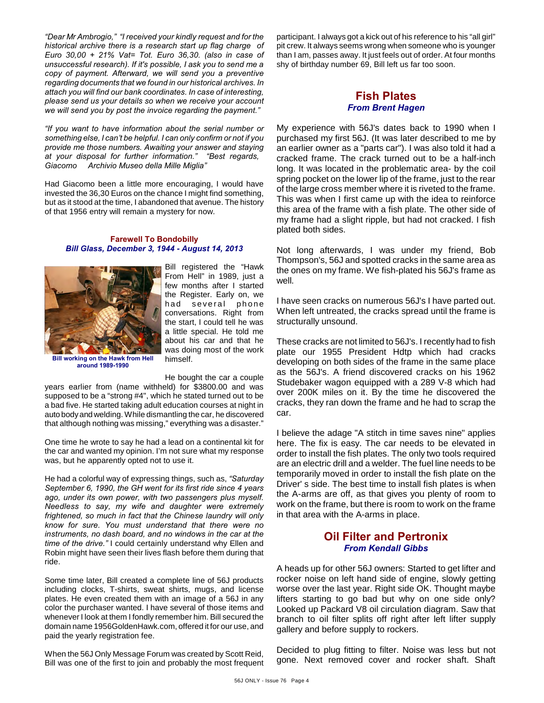*"Dear Mr Ambrogio," "I received your kindly request and for the historical archive there is a research start up flag charge of Euro 30,00 + 21% Vat= Tot. Euro 36,30. (also in case of unsuccessful research). If it's possible, I ask you to send me a copy of payment. Afterward, we will send you a preventive regarding documents that we found in our historical archives. In attach you will find our bank coordinates. In case of interesting, please send us your details so when we receive your account we will send you by post the invoice regarding the payment."*

*"If you want to have information about the serial number or something else, I can't be helpful. I can only confirm or not if you provide me those numbers. Awaiting your answer and staying at your disposal for further information." "Best regards, Giacomo Archivio Museo della Mille Miglia"*

Had Giacomo been a little more encouraging, I would have invested the 36,30 Euros on the chance I might find something, but as it stood at the time, I abandoned that avenue. The history of that 1956 entry will remain a mystery for now.

#### **Farewell To Bondobilly** *Bill Glass, December 3, 1944 - August 14, 2013*



**Bill working on the Hawk from Hell around 1989-1990**

Bill registered the "Hawk From Hell" in 1989, just a few months after I started the Register. Early on, we had several phone conversations. Right from the start, I could tell he was a little special. He told me about his car and that he was doing most of the work himself.

He bought the car a couple

years earlier from (name withheld) for \$3800.00 and was supposed to be a "strong #4", which he stated turned out to be a bad five. He started taking adult education courses at night in auto body and welding. While dismantling the car, he discovered that although nothing was missing," everything was a disaster."

One time he wrote to say he had a lead on a continental kit for the car and wanted my opinion. I'm not sure what my response was, but he apparently opted not to use it.

He had a colorful way of expressing things, such as, *"Saturday September 6, 1990, the GH went for its first ride since 4 years ago, under its own power, with two passengers plus myself. Needless to say, my wife and daughter were extremely frightened, so much in fact that the Chinese laundry will only know for sure. You must understand that there were no instruments, no dash board, and no windows in the car at the time of the drive."* I could certainly understand why Ellen and Robin might have seen their lives flash before them during that ride.

Some time later, Bill created a complete line of 56J products including clocks, T-shirts, sweat shirts, mugs, and license plates. He even created them with an image of a 56J in any color the purchaser wanted. I have several of those items and whenever I look at them I fondly remember him. Bill secured the domain name 1956GoldenHawk.com, offered it for our use, and paid the yearly registration fee.

When the 56J Only Message Forum was created by Scott Reid, Bill was one of the first to join and probably the most frequent

participant. I always got a kick out of his reference to his "all girl" pit crew. It always seems wrong when someone who is younger than I am, passes away. It just feels out of order. At four months shy of birthday number 69, Bill left us far too soon.

### **Fish Plates** *From Brent Hagen*

My experience with 56J's dates back to 1990 when I purchased my first 56J. (It was later described to me by an earlier owner as a "parts car"). I was also told it had a cracked frame. The crack turned out to be a half-inch long. It was located in the problematic area- by the coil spring pocket on the lower lip of the frame, just to the rear of the large cross member where it is riveted to the frame. This was when I first came up with the idea to reinforce this area of the frame with a fish plate. The other side of my frame had a slight ripple, but had not cracked. I fish plated both sides.

Not long afterwards, I was under my friend, Bob Thompson's, 56J and spotted cracks in the same area as the ones on my frame. We fish-plated his 56J's frame as well.

I have seen cracks on numerous 56J's I have parted out. When left untreated, the cracks spread until the frame is structurally unsound.

These cracks are not limited to 56J's. I recently had to fish plate our 1955 President Hdtp which had cracks developing on both sides of the frame in the same place as the 56J's. A friend discovered cracks on his 1962 Studebaker wagon equipped with a 289 V-8 which had over 200K miles on it. By the time he discovered the cracks, they ran down the frame and he had to scrap the car.

I believe the adage "A stitch in time saves nine" applies here. The fix is easy. The car needs to be elevated in order to install the fish plates. The only two tools required are an electric drill and a welder. The fuel line needs to be temporarily moved in order to install the fish plate on the Driver' s side. The best time to install fish plates is when the A-arms are off, as that gives you plenty of room to work on the frame, but there is room to work on the frame in that area with the A-arms in place.

## **Oil Filter and Pertronix** *From Kendall Gibbs*

A heads up for other 56J owners: Started to get lifter and rocker noise on left hand side of engine, slowly getting worse over the last year. Right side OK. Thought maybe lifters starting to go bad but why on one side only? Looked up Packard V8 oil circulation diagram. Saw that branch to oil filter splits off right after left lifter supply gallery and before supply to rockers.

Decided to plug fitting to filter. Noise was less but not gone. Next removed cover and rocker shaft. Shaft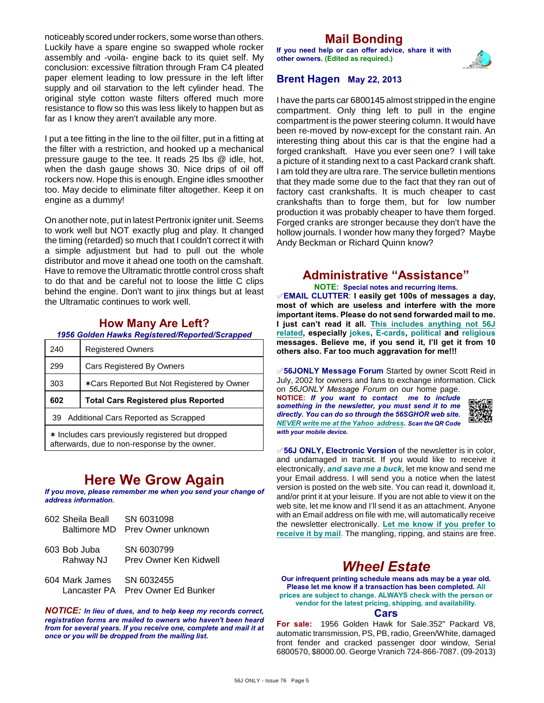noticeably scored under rockers, some worse than others. Luckily have a spare engine so swapped whole rocker assembly and -voila- engine back to its quiet self. My conclusion: excessive filtration through Fram C4 pleated paper element leading to low pressure in the left lifter supply and oil starvation to the left cylinder head. The original style cotton waste filters offered much more resistance to flow so this was less likely to happen but as far as I know they aren't available any more.

I put a tee fitting in the line to the oil filter, put in a fitting at the filter with a restriction, and hooked up a mechanical pressure gauge to the tee. It reads 25 lbs @ idle, hot, when the dash gauge shows 30. Nice drips of oil off rockers now. Hope this is enough. Engine idles smoother too. May decide to eliminate filter altogether. Keep it on engine as a dummy!

On another note, put in latest Pertronix igniter unit. Seems to work well but NOT exactly plug and play. It changed the timing (retarded) so much that I couldn't correct it with a simple adjustment but had to pull out the whole distributor and move it ahead one tooth on the camshaft. Have to remove the Ultramatic throttle control cross shaft to do that and be careful not to loose the little C clips behind the engine. Don't want to jinx things but at least the Ultramatic continues to work well.

## **How Many Are Left?**

*1956 Golden Hawks Registered/Reported/Scrapped*

| 240 | <b>Registered Owners</b>                   |
|-----|--------------------------------------------|
| 299 | Cars Registered By Owners                  |
| 303 | *Cars Reported But Not Registered by Owner |
|     |                                            |
| 602 | <b>Total Cars Registered plus Reported</b> |
| 39  | Additional Cars Reported as Scrapped       |

# **Here We Grow Again**

*If you move, please remember me when you send your change of address information.*

| 602 Sheila Beall<br>Baltimore MD | SN 6031098<br>Prev Owner unknown          |
|----------------------------------|-------------------------------------------|
| 603 Bob Juba<br>Rahway NJ        | SN 6030799<br>Prev Owner Ken Kidwell      |
| 604 Mark James<br>Lancaster PA   | SN 6032455<br><b>Prev Owner Ed Bunker</b> |

*NOTICE: In lieu of dues, and to help keep my records correct, registration forms are mailed to owners who haven't been heard from for several years. If you receive one, complete and mail it at once or you will be dropped from the mailing list.*

# **Mail Bonding**

**If you need help or can offer advice, share it with other owners. (Edited as required.)**



### **Brent Hagen May 22, 2013**

I have the parts car 6800145 almost stripped in the engine compartment. Only thing left to pull in the engine compartment is the power steering column. It would have been re-moved by now-except for the constant rain. An interesting thing about this car is that the engine had a forged crankshaft. Have you ever seen one? I will take a picture of it standing next to a cast Packard crank shaft. I am told they are ultra rare. The service bulletin mentions that they made some due to the fact that they ran out of factory cast crankshafts. It is much cheaper to cast crankshafts than to forge them, but for low number production it was probably cheaper to have them forged. Forged cranks are stronger because they don't have the hollow journals. I wonder how many they forged? Maybe Andy Beckman or Richard Quinn know?

## **Administrative "Assistance"**

**NOTE: Special notes and recurring items.**

°**EMAIL CLUTTER**: **I easily get 100s of messages a day, most of which are useless and interfere with the more important items. Please do not send forwarded mail to me. I just can't read it all. This includes anything not 56J related, especially jokes, E-cards, political and religious messages. Believe me, if you send it, I'll get it from 10 others also. Far too much aggravation for me!!!**

°**56JONLY Message Forum** Started by owner Scott Reid in July, 2002 for owners and fans to exchange information. Click on *56JONLY Message Forum* on our home page.

**NOTICE:** *If you want to contact me to include something in the newsletter, you must send it to me directly. You can do so through the 56SGHOR web site. NEVER write me at the Yahoo address. Scan the QR Code with your mobile device.* 



°**56J ONLY, Electronic Version** of the newsletter is in color, and undamaged in transit. If you would like to receive it electronically, *and save me a buck*, let me know and send me your Email address. I will send you a notice when the latest version is posted on the web site. You can read it, download it, and/or print it at your leisure. If you are not able to view it on the web site, let me know and I'll send it as an attachment. Anyone with an Email address on file with me, will automatically receive the newsletter electronically. **Let me know if you prefer to receive it by mail**. The mangling, ripping, and stains are free.

# *Wheel Estate*

**Our infrequent printing schedule means ads may be a year old. Please let me know if a transaction has been completed. All prices are subject to change. ALWAYS check with the person or vendor for the latest pricing, shipping, and availability.**

#### **Cars**

**For sale:** 1956 Golden Hawk for Sale.352" Packard V8, automatic transmission, PS, PB, radio, Green/White, damaged front fender and cracked passenger door window, Serial 6800570, \$8000.00. George Vranich 724-866-7087. (09-2013)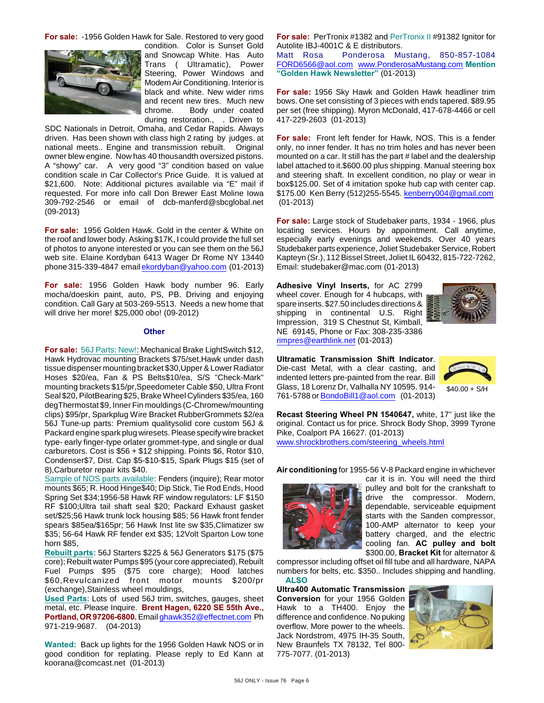**For sale:** -1956 Golden Hawk for Sale. Restored to very good



condition. Color is Sunset Gold and Snowcap White. Has Auto Trans ( Ultramatic), Power Steering, Power Windows and Modern Air Conditioning. Interior is black and white. New wider rims and recent new tires. Much new chrome. Body under coated during restoration., . Driven to

SDC Nationals in Detroit, Omaha, and Cedar Rapids. Always driven. Has been shown with class high 2 rating by judges. at national meets.. Engine and transmission rebuilt. Original owner blew engine. Now has 40 thousandth oversized pistons. A "showy" car. A very good "3" condition based on value condition scale in Car Collector's Price Guide. It is valued at \$21,600. Note: Additional pictures available via "E" mail if requested. For more info call Don Brewer East Moline Iowa 309-792-2546 or email of dcb-manferd@sbcglobal.net (09-2013)

**For sale:** 1956 Golden Hawk. Gold in the center & White on the roof and lower body. Asking \$17K, I could provide the full set of photos to anyone interested or you can see them on the 56J web site. Elaine Kordyban 6413 Wager Dr Rome NY 13440 phone 315-339-4847 email [ekordyban@yahoo.com](mailto:ekordyban@yahoo.com) (01-2013)

**For sale:** 1956 Golden Hawk body number 96. Early mocha/doeskin paint, auto, PS, PB. Driving and enjoying condition. Call Gary at 503-269-5513. Needs a new home that will drive her more! \$25,000 obo! (09-2012)

#### **Other**

**For sale:** 56J Parts: New!: Mechanical Brake LightSwitch \$12, Hawk Hydrovac mounting Brackets \$75/set,Hawk under dash tissue dispenser mounting bracket \$30,Upper & Lower Radiator Hoses \$20/ea, Fan & PS Belts\$10/ea, S/S "Check-Mark" mounting brackets \$15/pr,Speedometer Cable \$50, Ultra Front Seal \$20, PilotBearing \$25, Brake Wheel Cylinders \$35/ea, 160 degThermostat \$9, Inner Fin mouldings (C-Chromew/mounting clips) \$95/pr, Sparkplug Wire Bracket RubberGrommets \$2/ea 56J Tune-up parts: Premium qualitysolid core custom 56J & Packard engine spark plug wiresets. Please specify wire bracket type- early finger-type orlater grommet-type, and single or dual carburetors. Cost is \$56 + \$12 shipping. Points \$6, Rotor \$10, Condenser\$7, Dist. Cap \$5-\$10-\$15, Spark Plugs \$15 (set of 8),Carburetor repair kits \$40.

Sample of NOS parts available: Fenders (inquire); Rear motor mounts \$65; R. Hood Hinge\$40; Dip Stick, Tie Rod Ends, Hood Spring Set \$34;1956-58 Hawk RF window regulators: LF \$150 RF \$100;Ultra tail shaft seal \$20; Packard Exhaust gasket set/\$25;56 Hawk trunk lock housing \$85; 56 Hawk front fender spears \$85ea/\$165pr; 56 Hawk Inst lite sw \$35,Climatizer sw \$35; 56-64 Hawk RF fender ext \$35; 12Volt Sparton Low tone horn \$85,

**Rebuilt parts:** 56J Starters \$225 & 56J Generators \$175 (\$75 core); Rebuilt water Pumps \$95 (your core appreciated), Rebuilt Fuel Pumps \$95 (\$75 core charge); Hood latches \$60,Revulcanized front motor mounts \$200/pr (exchange),Stainless wheel mouldings,

**Used Parts**: Lots of used 56J trim, switches, gauges, sheet metal, etc. Please Inquire. **Brent Hagen, 6220 SE 55th Ave., Portland, OR 97206-6800.** Email [ghawk352@effectnet.com](mailto:ghawk352@effectnet.com) Ph 971-219-9687. (04-2013)

**Wanted:** Back up lights for the 1956 Golden Hawk NOS or in good condition for replating. Please reply to Ed Kann at koorana@comcast.net (01-2013)

**For sale:** PerTronix #1382 and PerTronix II #91382 Ignitor for Autolite IBJ-4001C & E distributors.

Matt Rosa Ponderosa Mustang, 850-857-1084 [FORD6566@aol.com](mailto:FORD6566@aol.com) [www.PonderosaMustang.com](http://www.PonderosaMustang.com) **Mention "Golden Hawk Newsletter"** (01-2013)

**For sale:** 1956 Sky Hawk and Golden Hawk headliner trim bows. One set consisting of 3 pieces with ends tapered. \$89.95 per set (free shipping). Myron McDonald, 417-678-4466 or cell 417-229-2603 (01-2013)

**For sale:** Front left fender for Hawk, NOS. This is a fender only, no inner fender. It has no trim holes and has never been mounted on a car. It still has the part # label and the dealership label attached to it.\$600.00 plus shipping. Manual steering box and steering shaft. In excellent condition, no play or wear in box\$125.00. Set of 4 imitation spoke hub cap with center cap. \$175.00 Ken Berry (512)255-5545. [kenberry004@gmail.com](mailto:kenberry004@gmail.com) (01-2013)

**For sale:** Large stock of Studebaker parts, 1934 - 1966, plus locating services. Hours by appointment. Call anytime, especially early evenings and weekends. Over 40 years Studebaker parts experience, Joliet Studebaker Service, Robert Kapteyn (Sr.), 112 Bissel Street, Joliet IL 60432, 815-722-7262, Email: studebaker@mac.com (01-2013)

**Adhesive Vinyl Inserts,** for AC 2799 wheel cover. Enough for 4 hubcaps, with spare inserts. \$27.50 includes directions & shipping in continental U.S. Right Impression, 319 S Chestnut St, Kimball, NE 69145, Phone or Fax: 308-235-3386 [rimpres@earthlink.net](mailto:rimpres@earthlink.net) (01-2013)



**Ultramatic Transmission Shift Indicator**. Die-cast Metal, with a clear casting, and indented letters pre-painted from the rear. Bill Glass, 18 Lorenz Dr, Valhalla NY 10595. 914- 761-5788 or [BondoBill1@aol.com](mailto:BondoBill1@aol.com) (01-2013)



 $$40.00 + S/H$ 

**Recast Steering Wheel PN 1540647,** white, 17" just like the original. Contact us for price. Shrock Body Shop, 3999 Tyrone Pike, Coalport PA 16627. (01-2013) [www.shrockbrothers.com/steering\\_wheels.html](http://www.shrockbrothers.com/steering_wheels.html)

**Air conditioning** for 1955-56 V-8 Packard engine in whichever



car it is in. You will need the third pulley and bolt for the crankshaft to drive the compressor. Modern, dependable, serviceable equipment starts with the Sanden compressor, 100-AMP alternator to keep your battery charged, and the electric cooling fan. **AC pulley and bolt** \$300.00, **Bracket Kit** for alternator &

compressor including offset oil fill tube and all hardware, NAPA numbers for belts, etc. \$350.. Includes shipping and handling. **ALSO**

**Ultra400 Automatic Transmission Conversion** for your 1956 Golden Hawk to a TH400. Enjoy the difference and confidence. No puking overflow. More power to the wheels. Jack Nordstrom, 4975 IH-35 South, New Braunfels TX 78132, Tel 800- 775-7077. (01-2013)

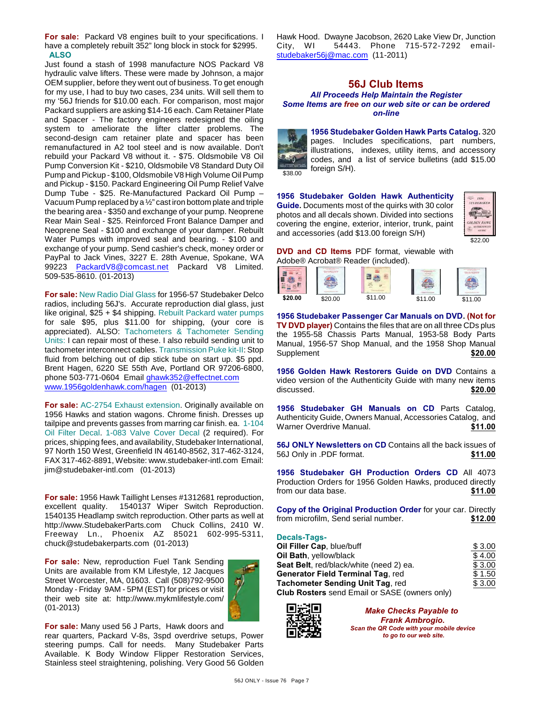**For sale:** Packard V8 engines built to your specifications. I have a completely rebuilt 352" long block in stock for \$2995. **ALSO**

Just found a stash of 1998 manufacture NOS Packard V8 hydraulic valve lifters. These were made by Johnson, a major OEM supplier, before they went out of business. To get enough for my use, I had to buy two cases, 234 units. Will sell them to my '56J friends for \$10.00 each. For comparison, most major Packard suppliers are asking \$14-16 each. Cam Retainer Plate and Spacer - The factory engineers redesigned the oiling system to ameliorate the lifter clatter problems. The second-design cam retainer plate and spacer has been remanufactured in A2 tool steel and is now available. Don't rebuild your Packard V8 without it. - \$75. Oldsmobile V8 Oil Pump Conversion Kit - \$210, Oldsmobile V8 Standard Duty Oil Pump and Pickup - \$100, Oldsmobile V8 High Volume Oil Pump and Pickup - \$150. Packard Engineering Oil Pump Relief Valve Dump Tube - \$25. Re-Manufactured Packard Oil Pump – Vacuum Pump replaced by a ½" cast iron bottom plate and triple the bearing area - \$350 and exchange of your pump. Neoprene Rear Main Seal - \$25. Reinforced Front Balance Damper and Neoprene Seal - \$100 and exchange of your damper. Rebuilt Water Pumps with improved seal and bearing. - \$100 and exchange of your pump. Send cashier's check, money order or PayPal to Jack Vines, 3227 E. 28th Avenue, Spokane, WA 99223 [PackardV8@comcast.net](mailto:PackardV8@comcast.net) Packard V8 Limited. 509-535-8610. (01-2013)

**For sale:** New Radio Dial Glass for 1956-57 Studebaker Delco radios, including 56J's. Accurate reproduction dial glass, just like original, \$25 + \$4 shipping. Rebuilt Packard water pumps for sale \$95, plus \$11.00 for shipping, (your core is appreciated). ALSO: Tachometers & Tachometer Sending Units: I can repair most of these. I also rebuild sending unit to tachometer interconnect cables. Transmission Puke kit-II: Stop fluid from belching out of dip stick tube on start up. \$5 ppd. Brent Hagen, 6220 SE 55th Ave, Portland OR 97206-6800, phone 503-771-0604 Email [ghawk352@effectnet.com](mailto:ghawk352@effectnet.com) [www.1956goldenhawk.com/hagen](http://www.1956goldenhawk.com/hagen) (01-2013)

**For sale:** AC-2754 Exhaust extension. Originally available on 1956 Hawks and station wagons. Chrome finish. Dresses up tailpipe and prevents gasses from marring car finish. ea. 1-104 Oil Filter Decal. 1-083 Valve Cover Decal (2 required). For prices, shipping fees, and availability, Studebaker International, 97 North 150 West, Greenfield IN 46140-8562, 317-462-3124, FAX 317-462-8891, Website: www.studebaker-intl.com Email: jim@studebaker-intl.com (01-2013)

**For sale:** 1956 Hawk Taillight Lenses #1312681 reproduction, excellent quality. 1540137 Wiper Switch Reproduction. 1540135 Headlamp switch reproduction. Other parts as well at http://www.StudebakerParts.com Chuck Collins, 2410 W. Freeway Ln., Phoenix AZ 85021 602-995-5311, chuck@studebakerparts.com (01-2013)

**For sale:** New, reproduction Fuel Tank Sending Units are available from KM Lifestyle, 12 Jacques Street Worcester, MA, 01603. Call (508)792-9500 Monday - Friday 9AM - 5PM (EST) for prices or visit their web site at: http://www.mykmlifestyle.com/ (01-2013)



**For sale:** Many used 56 J Parts, Hawk doors and

rear quarters, Packard V-8s, 3spd overdrive setups, Power steering pumps. Call for needs. Many Studebaker Parts Available. K Body Window Flipper Restoration Services, Stainless steel straightening, polishing. Very Good 56 Golden Hawk Hood. Dwayne Jacobson, 2620 Lake View Dr, Junction City, WI 54443. Phone 715-572-7292 email[studebaker56j@mac.com](mailto:studebaker56j@mac.com) (11-2011)

## **56J Club Items**

*All Proceeds Help Maintain the Register Some Items are free on our web site or can be ordered on-line*



**1956 Studebaker Golden Hawk Parts Catalog.** 320 pages. Includes specifications, part numbers, illustrations, indexes, utility items, and accessory codes, and a list of service bulletins (add \$15.00 foreign S/H).

**1956 Studebaker Golden Hawk Authenticity Guide.** Documents most of the quirks with 30 color photos and all decals shown. Divided into sections covering the engine, exterior, interior, trunk, paint and accessories (add \$13.00 foreign S/H)



**DVD and CD Items** PDF format, viewable with Adobe® Acrobat® Reader (included).



**1956 Studebaker Passenger Car Manuals on DVD. (Not for TV DVD player)** Contains the files that are on all three CDs plus the 1955-58 Chassis Parts Manual, 1953-58 Body Parts Manual, 1956-57 Shop Manual, and the 1958 Shop Manual Supplement **\$20.00** 

**1956 Golden Hawk Restorers Guide on DVD** Contains a video version of the Authenticity Guide with many new items discussed. **\$20.00** 

**1956 Studebaker GH Manuals on CD** Parts Catalog, Authenticity Guide, Owners Manual, Accessories Catalog, and Warner Overdrive Manual. **\$11.00**

**56J ONLY Newsletters on CD** Contains all the back issues of 56J Only in .PDF format. **\$11.00**

**1956 Studebaker GH Production Orders CD** All 4073 Production Orders for 1956 Golden Hawks, produced directly from our data base. **\$11.00**

| Copy of the Original Production Order for your car. Directly |         |
|--------------------------------------------------------------|---------|
| from microfilm, Send serial number.                          | \$12.00 |

#### **Decals-Tags-**

| Oil Filler Cap, blue/buff                            | \$3.00 |
|------------------------------------------------------|--------|
| Oil Bath, yellow/black                               | \$4.00 |
| Seat Belt, red/black/white (need 2) ea.              | \$3.00 |
| <b>Generator Field Terminal Tag, red</b>             | \$1.50 |
| Tachometer Sending Unit Tag, red                     | \$3.00 |
| <b>Club Rosters</b> send Email or SASE (owners only) |        |



*Make Checks Payable to Frank Ambrogio. Scan the QR Code with your mobile device to go to our web site.*